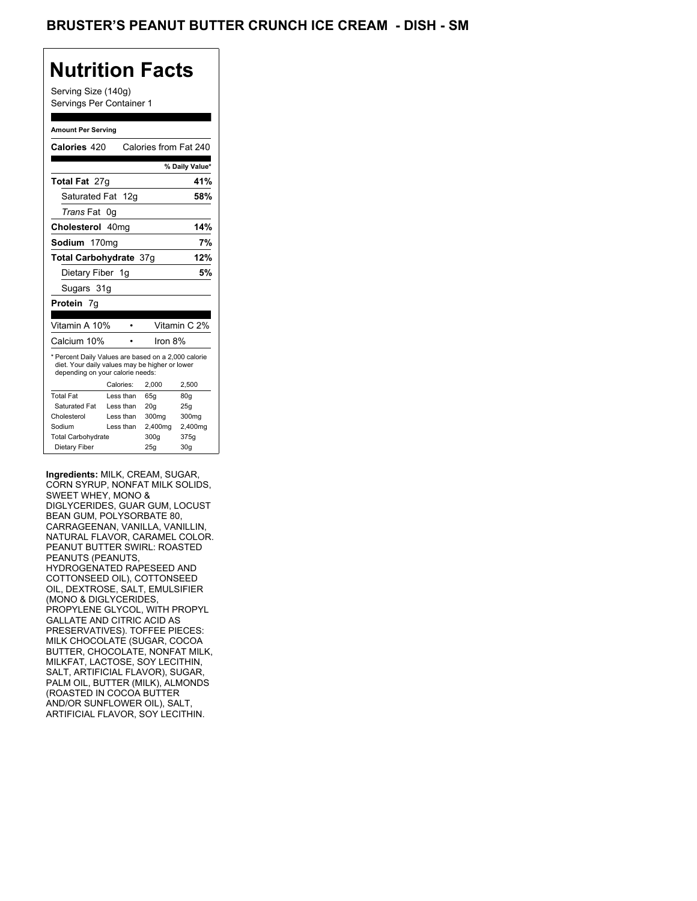## **Nutrition Facts**

Serving Size (140g) Servings Per Container 1

#### **Amount Per Serving**

|                                  |                                                                                                       | % Daily Value*                                  |
|----------------------------------|-------------------------------------------------------------------------------------------------------|-------------------------------------------------|
|                                  |                                                                                                       | 41%                                             |
| Saturated Fat 12g                |                                                                                                       | 58%                                             |
| 0g                               |                                                                                                       |                                                 |
| Cholesterol 40mg                 |                                                                                                       | 14%                                             |
| Sodium 170mg                     |                                                                                                       | 7%                                              |
|                                  |                                                                                                       | 12%                                             |
| Dietary Fiber 1g                 |                                                                                                       | 5%                                              |
|                                  |                                                                                                       |                                                 |
|                                  |                                                                                                       |                                                 |
|                                  |                                                                                                       |                                                 |
|                                  |                                                                                                       |                                                 |
|                                  |                                                                                                       | Vitamin C 2%                                    |
|                                  | Iron $8\%$                                                                                            |                                                 |
| depending on your calorie needs: | * Percent Daily Values are based on a 2,000 calorie<br>diet. Your daily values may be higher or lower |                                                 |
| Calories:                        | 2.000                                                                                                 | 2,500                                           |
| Less than                        | 65q                                                                                                   | 80q                                             |
| Less than                        | 20q                                                                                                   | 25q                                             |
| I ess than                       | 300mg                                                                                                 | 300mg                                           |
| Less than                        | 2,400mg                                                                                               | 2,400mg                                         |
|                                  | 300q                                                                                                  | 375g                                            |
|                                  |                                                                                                       | Calories from Fat 240<br>Total Carbohydrate 37q |

**Ingredients:** MILK, CREAM, SUGAR, CORN SYRUP, NONFAT MILK SOLIDS, SWEET WHEY, MONO & DIGLYCERIDES, GUAR GUM, LOCUST BEAN GUM, POLYSORBATE 80, CARRAGEENAN, VANILLA, VANILLIN, NATURAL FLAVOR, CARAMEL COLOR. PEANUT BUTTER SWIRL: ROASTED PEANUTS (PEANUTS, HYDROGENATED RAPESEED AND COTTONSEED OIL), COTTONSEED OIL, DEXTROSE, SALT, EMULSIFIER (MONO & DIGLYCERIDES, PROPYLENE GLYCOL, WITH PROPYL GALLATE AND CITRIC ACID AS PRESERVATIVES). TOFFEE PIECES: MILK CHOCOLATE (SUGAR, COCOA BUTTER, CHOCOLATE, NONFAT MILK, MILKFAT, LACTOSE, SOY LECITHIN, SALT, ARTIFICIAL FLAVOR), SUGAR, PALM OIL, BUTTER (MILK), ALMONDS (ROASTED IN COCOA BUTTER AND/OR SUNFLOWER OIL), SALT, ARTIFICIAL FLAVOR, SOY LECITHIN.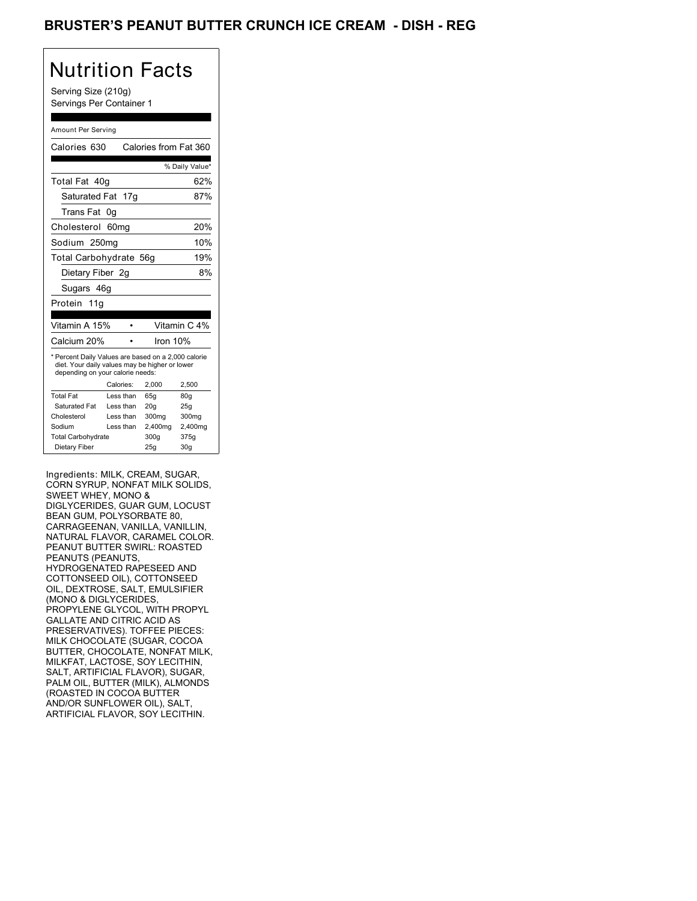## BRUSTER'S PEANUT BUTTER CRUNCH ICE CREAM - DISH - REG

# Nutrition Facts

Serving Size (210g) Servings Per Container 1

#### Amount Per Serving

| Calories 630                                                                                                                              |                  | Calories from Fat 360 |                |
|-------------------------------------------------------------------------------------------------------------------------------------------|------------------|-----------------------|----------------|
|                                                                                                                                           |                  |                       | % Daily Value* |
| Total Fat 40g                                                                                                                             |                  |                       | 62%            |
| Saturated Fat 17g                                                                                                                         |                  |                       | 87%            |
| Trans Fat                                                                                                                                 | 0g               |                       |                |
| Cholesterol                                                                                                                               | 60 <sub>mq</sub> |                       | 20%            |
| Sodium 250mg                                                                                                                              |                  |                       | 10%            |
| Total Carbohydrate 56g                                                                                                                    |                  |                       | 19%            |
| Dietary Fiber 2g                                                                                                                          |                  |                       | 8%             |
| Sugars 46g                                                                                                                                |                  |                       |                |
| Protein 11g                                                                                                                               |                  |                       |                |
|                                                                                                                                           |                  |                       |                |
|                                                                                                                                           |                  |                       |                |
| Vitamin A 15%                                                                                                                             |                  |                       | Vitamin C 4%   |
| Calcium 20%                                                                                                                               |                  | Iron 10%              |                |
| * Percent Daily Values are based on a 2,000 calorie<br>diet. Your daily values may be higher or lower<br>depending on your calorie needs: |                  |                       |                |
|                                                                                                                                           | Calories:        | 2,000                 | 2.500          |
| <b>Total Fat</b>                                                                                                                          | Less than        | 65g                   | 80q            |
| Saturated Fat                                                                                                                             | Less than        | 20 <sub>q</sub>       | 25q            |
| Cholesterol                                                                                                                               | Less than        | 300mg                 | 300mg          |
| Sodium                                                                                                                                    | Less than        | 2,400mg               | 2,400mg        |
| <b>Total Carbohydrate</b>                                                                                                                 |                  | 300g                  | 375g           |

Ingredients: MILK, CREAM, SUGAR, CORN SYRUP, NONFAT MILK SOLIDS, SWEET WHEY, MONO & DIGLYCERIDES, GUAR GUM, LOCUST BEAN GUM, POLYSORBATE 80, CARRAGEENAN, VANILLA, VANILLIN, NATURAL FLAVOR, CARAMEL COLOR. PEANUT BUTTER SWIRL: ROASTED PEANUTS (PEANUTS, HYDROGENATED RAPESEED AND COTTONSEED OIL), COTTONSEED OIL, DEXTROSE, SALT, EMULSIFIER (MONO & DIGLYCERIDES, PROPYLENE GLYCOL, WITH PROPYL GALLATE AND CITRIC ACID AS PRESERVATIVES). TOFFEE PIECES: MILK CHOCOLATE (SUGAR, COCOA BUTTER, CHOCOLATE, NONFAT MILK, MILKFAT, LACTOSE, SOY LECITHIN, SALT, ARTIFICIAL FLAVOR), SUGAR, PALM OIL, BUTTER (MILK), ALMONDS (ROASTED IN COCOA BUTTER AND/OR SUNFLOWER OIL), SALT, ARTIFICIAL FLAVOR, SOY LECITHIN.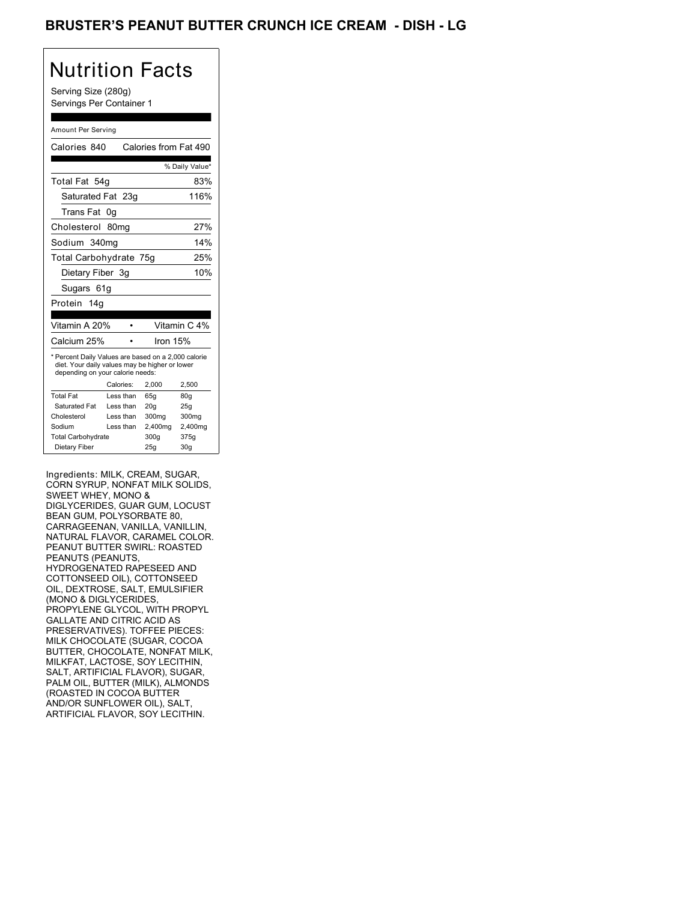## BRUSTER'S PEANUT BUTTER CRUNCH ICE CREAM - DISH - LG

# Nutrition Facts

Serving Size (280g) Servings Per Container 1

#### Amount Per Serving

| Calories 840                                                                                                                              |                  | Calories from Fat 490 |                |
|-------------------------------------------------------------------------------------------------------------------------------------------|------------------|-----------------------|----------------|
|                                                                                                                                           |                  |                       | % Daily Value* |
| Total Fat 54g                                                                                                                             |                  |                       | 83%            |
| Saturated Fat 23q                                                                                                                         |                  |                       | 116%           |
| Trans Fat                                                                                                                                 | 0g               |                       |                |
| Cholesterol                                                                                                                               | 80 <sub>mq</sub> |                       | 27%            |
| Sodium 340mg                                                                                                                              |                  |                       | 14%            |
| Total Carbohydrate 75g                                                                                                                    |                  |                       | 25%            |
| Dietary Fiber 3q                                                                                                                          |                  |                       | 10%            |
| Sugars 61g                                                                                                                                |                  |                       |                |
| Protein 14a                                                                                                                               |                  |                       |                |
|                                                                                                                                           |                  |                       |                |
|                                                                                                                                           |                  |                       |                |
| Vitamin A 20%                                                                                                                             |                  |                       | Vitamin C 4%   |
| Calcium 25%                                                                                                                               |                  | Iron $15%$            |                |
| * Percent Daily Values are based on a 2,000 calorie<br>diet. Your daily values may be higher or lower<br>depending on your calorie needs: |                  |                       |                |
|                                                                                                                                           | Calories:        | 2,000                 | 2.500          |
| <b>Total Fat</b>                                                                                                                          | Less than        | 65q                   | 80q            |
| Saturated Fat                                                                                                                             | Less than        | 20q                   | 25q            |
| Cholesterol                                                                                                                               | Less than        | 300mg                 | 300mg          |
| Sodium                                                                                                                                    | Less than        | 2,400mg               | 2,400mg        |
| <b>Total Carbohydrate</b>                                                                                                                 |                  | 300g                  | 375g           |

Ingredients: MILK, CREAM, SUGAR, CORN SYRUP, NONFAT MILK SOLIDS, SWEET WHEY, MONO & DIGLYCERIDES, GUAR GUM, LOCUST BEAN GUM, POLYSORBATE 80, CARRAGEENAN, VANILLA, VANILLIN, NATURAL FLAVOR, CARAMEL COLOR. PEANUT BUTTER SWIRL: ROASTED PEANUTS (PEANUTS, HYDROGENATED RAPESEED AND COTTONSEED OIL), COTTONSEED OIL, DEXTROSE, SALT, EMULSIFIER (MONO & DIGLYCERIDES, PROPYLENE GLYCOL, WITH PROPYL GALLATE AND CITRIC ACID AS PRESERVATIVES). TOFFEE PIECES: MILK CHOCOLATE (SUGAR, COCOA BUTTER, CHOCOLATE, NONFAT MILK, MILKFAT, LACTOSE, SOY LECITHIN, SALT, ARTIFICIAL FLAVOR), SUGAR, PALM OIL, BUTTER (MILK), ALMONDS (ROASTED IN COCOA BUTTER AND/OR SUNFLOWER OIL), SALT, ARTIFICIAL FLAVOR, SOY LECITHIN.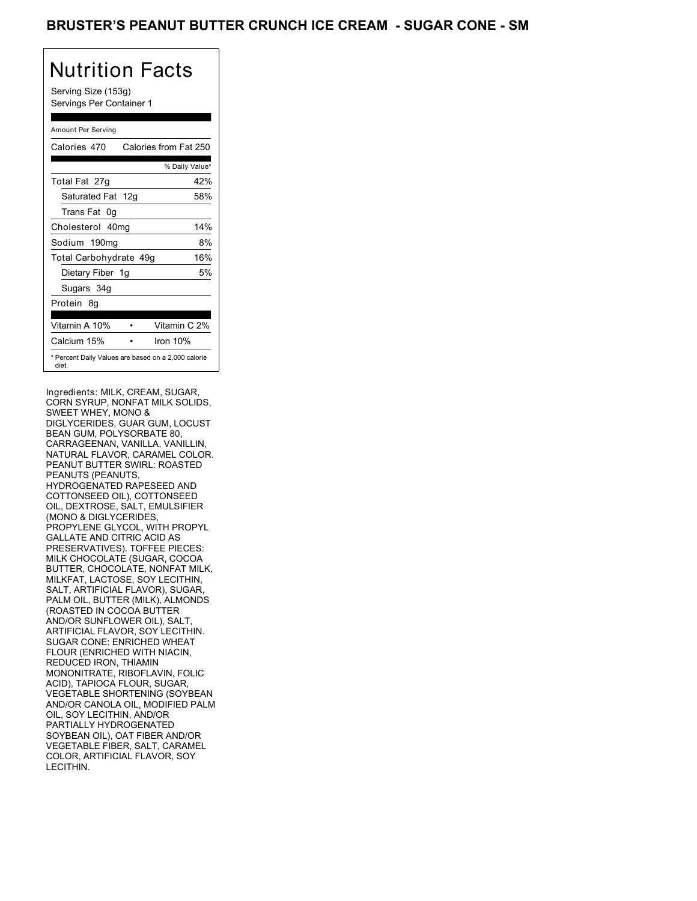## BRUSTER'S PEANUT BUTTER CRUNCH ICE CREAM - SUGAR CONE - SM

## Nutrition Facts

Serving Size (153g) Servings Per Container 1

#### Amount Per Serving

| Calories 470                                                 | Calories from Fat 250 |
|--------------------------------------------------------------|-----------------------|
|                                                              | % Daily Value*        |
| Total Fat 27g                                                | 42%                   |
| Saturated Fat 12g                                            | 58%                   |
| Trans Fat 0q                                                 |                       |
| Cholesterol 40mg                                             | 14%                   |
| Sodium 190mg                                                 | 8%                    |
| Total Carbohydrate 49g                                       | 16%                   |
| Dietary Fiber 1g                                             | 5%                    |
| Sugars 34g                                                   |                       |
| Protein 8q                                                   |                       |
| Vitamin A 10%                                                | Vitamin C 2%          |
| Calcium 15%                                                  | Iron $10%$            |
| * Percent Daily Values are based on a 2,000 calorie<br>diet. |                       |

Ingredients: MILK, CREAM, SUGAR, CORN SYRUP, NONFAT MILK SOLIDS, SWEET WHEY, MONO & DIGLYCERIDES, GUAR GUM, LOCUST BEAN GUM, POLYSORBATE 80, CARRAGEENAN, VANILLA, VANILLIN, NATURAL FLAVOR, CARAMEL COLOR. PEANUT BUTTER SWIRL: ROASTED PEANUTS (PEANUTS, HYDROGENATED RAPESEED AND COTTONSEED OIL), COTTONSEED OIL, DEXTROSE, SALT, EMULSIFIER (MONO & DIGLYCERIDES, PROPYLENE GLYCOL, WITH PROPYL GALLATE AND CITRIC ACID AS PRESERVATIVES). TOFFEE PIECES: MILK CHOCOLATE (SUGAR, COCOA BUTTER, CHOCOLATE, NONFAT MILK, MILKFAT, LACTOSE, SOY LECITHIN, SALT, ARTIFICIAL FLAVOR), SUGAR, PALM OIL, BUTTER (MILK), ALMONDS (ROASTED IN COCOA BUTTER AND/OR SUNFLOWER OIL), SALT, ARTIFICIAL FLAVOR, SOY LECITHIN. SUGAR CONE: ENRICHED WHEAT FLOUR (ENRICHED WITH NIACIN, REDUCED IRON, THIAMIN MONONITRATE, RIBOFLAVIN, FOLIC ACID), TAPIOCA FLOUR, SUGAR, VEGETABLE SHORTENING (SOYBEAN AND/OR CANOLA OIL, MODIFIED PALM OIL, SOY LECITHIN, AND/OR PARTIALLY HYDROGENATED SOYBEAN OIL), OAT FIBER AND/OR VEGETABLE FIBER, SALT, CARAMEL COLOR, ARTIFICIAL FLAVOR, SOY LECITHIN.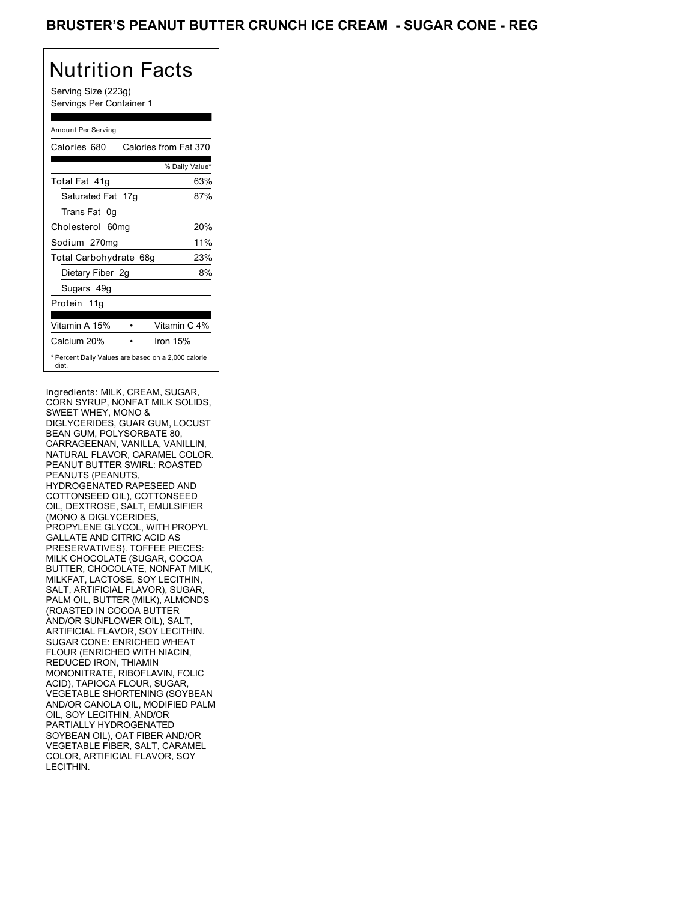## BRUSTER'S PEANUT BUTTER CRUNCH ICE CREAM - SUGAR CONE - REG

# Nutrition Facts

Serving Size (223g) Servings Per Container 1

#### Amount Per Serving

| Calories 680                                                 | Calories from Fat 370 |
|--------------------------------------------------------------|-----------------------|
|                                                              | % Daily Value*        |
| Total Fat 41q                                                | 63%                   |
| Saturated Fat 17g                                            | 87%                   |
| Trans Fat 0q                                                 |                       |
| Cholesterol 60mg                                             | 20%                   |
| Sodium 270mg                                                 | 11%                   |
| Total Carbohydrate 68g                                       | 23%                   |
| Dietary Fiber 2g                                             | 8%                    |
| Sugars 49g                                                   |                       |
| Protein 11g                                                  |                       |
| Vitamin A 15%                                                | Vitamin C 4%          |
| Calcium 20%                                                  | Iron 15%              |
| * Percent Daily Values are based on a 2,000 calorie<br>diet. |                       |

Ingredients: MILK, CREAM, SUGAR, CORN SYRUP, NONFAT MILK SOLIDS, SWEET WHEY, MONO & DIGLYCERIDES, GUAR GUM, LOCUST BEAN GUM, POLYSORBATE 80, CARRAGEENAN, VANILLA, VANILLIN, NATURAL FLAVOR, CARAMEL COLOR. PEANUT BUTTER SWIRL: ROASTED PEANUTS (PEANUTS, HYDROGENATED RAPESEED AND COTTONSEED OIL), COTTONSEED OIL, DEXTROSE, SALT, EMULSIFIER (MONO & DIGLYCERIDES, PROPYLENE GLYCOL, WITH PROPYL GALLATE AND CITRIC ACID AS PRESERVATIVES). TOFFEE PIECES: MILK CHOCOLATE (SUGAR, COCOA BUTTER, CHOCOLATE, NONFAT MILK, MILKFAT, LACTOSE, SOY LECITHIN, SALT, ARTIFICIAL FLAVOR), SUGAR, PALM OIL, BUTTER (MILK), ALMONDS (ROASTED IN COCOA BUTTER AND/OR SUNFLOWER OIL), SALT, ARTIFICIAL FLAVOR, SOY LECITHIN. SUGAR CONE: ENRICHED WHEAT FLOUR (ENRICHED WITH NIACIN, REDUCED IRON, THIAMIN MONONITRATE, RIBOFLAVIN, FOLIC ACID), TAPIOCA FLOUR, SUGAR, VEGETABLE SHORTENING (SOYBEAN AND/OR CANOLA OIL, MODIFIED PALM OIL, SOY LECITHIN, AND/OR PARTIALLY HYDROGENATED SOYBEAN OIL), OAT FIBER AND/OR VEGETABLE FIBER, SALT, CARAMEL COLOR, ARTIFICIAL FLAVOR, SOY LECITHIN.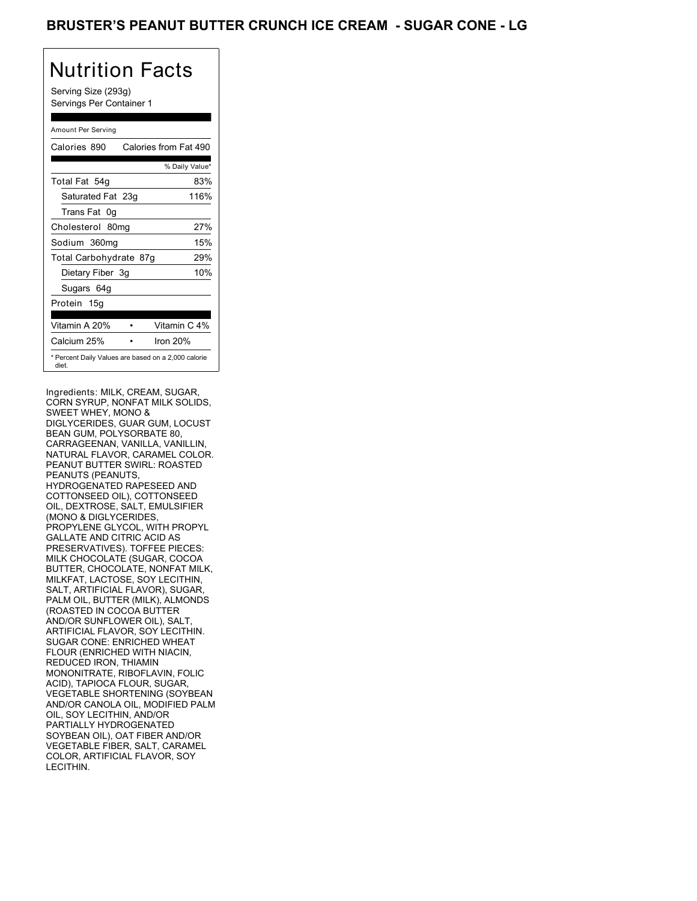## BRUSTER'S PEANUT BUTTER CRUNCH ICE CREAM - SUGAR CONE - LG

# Nutrition Facts

Serving Size (293g) Servings Per Container 1

#### Amount Per Serving

| Calories 890           | Calories from Fat 490                               |
|------------------------|-----------------------------------------------------|
|                        | % Daily Value*                                      |
| Total Fat 54g          | 83%                                                 |
| Saturated Fat 23g      | 116%                                                |
| Trans Fat 0q           |                                                     |
| Cholesterol 80mg       | 27%                                                 |
| Sodium 360mg           | 15%                                                 |
| Total Carbohydrate 87g | 29%                                                 |
| Dietary Fiber 3g       | 10%                                                 |
| Sugars 64g             |                                                     |
| Protein 15g            |                                                     |
| Vitamin A 20%          | Vitamin C 4%                                        |
| Calcium 25%            | Iron 20%                                            |
| diet.                  | * Percent Daily Values are based on a 2,000 calorie |

Ingredients: MILK, CREAM, SUGAR, CORN SYRUP, NONFAT MILK SOLIDS, SWEET WHEY, MONO & DIGLYCERIDES, GUAR GUM, LOCUST BEAN GUM, POLYSORBATE 80, CARRAGEENAN, VANILLA, VANILLIN, NATURAL FLAVOR, CARAMEL COLOR. PEANUT BUTTER SWIRL: ROASTED PEANUTS (PEANUTS, HYDROGENATED RAPESEED AND COTTONSEED OIL), COTTONSEED OIL, DEXTROSE, SALT, EMULSIFIER (MONO & DIGLYCERIDES, PROPYLENE GLYCOL, WITH PROPYL GALLATE AND CITRIC ACID AS PRESERVATIVES). TOFFEE PIECES: MILK CHOCOLATE (SUGAR, COCOA BUTTER, CHOCOLATE, NONFAT MILK, MILKFAT, LACTOSE, SOY LECITHIN, SALT, ARTIFICIAL FLAVOR), SUGAR, PALM OIL, BUTTER (MILK), ALMONDS (ROASTED IN COCOA BUTTER AND/OR SUNFLOWER OIL), SALT, ARTIFICIAL FLAVOR, SOY LECITHIN. SUGAR CONE: ENRICHED WHEAT FLOUR (ENRICHED WITH NIACIN, REDUCED IRON, THIAMIN MONONITRATE, RIBOFLAVIN, FOLIC ACID), TAPIOCA FLOUR, SUGAR, VEGETABLE SHORTENING (SOYBEAN AND/OR CANOLA OIL, MODIFIED PALM OIL, SOY LECITHIN, AND/OR PARTIALLY HYDROGENATED SOYBEAN OIL), OAT FIBER AND/OR VEGETABLE FIBER, SALT, CARAMEL COLOR, ARTIFICIAL FLAVOR, SOY LECITHIN.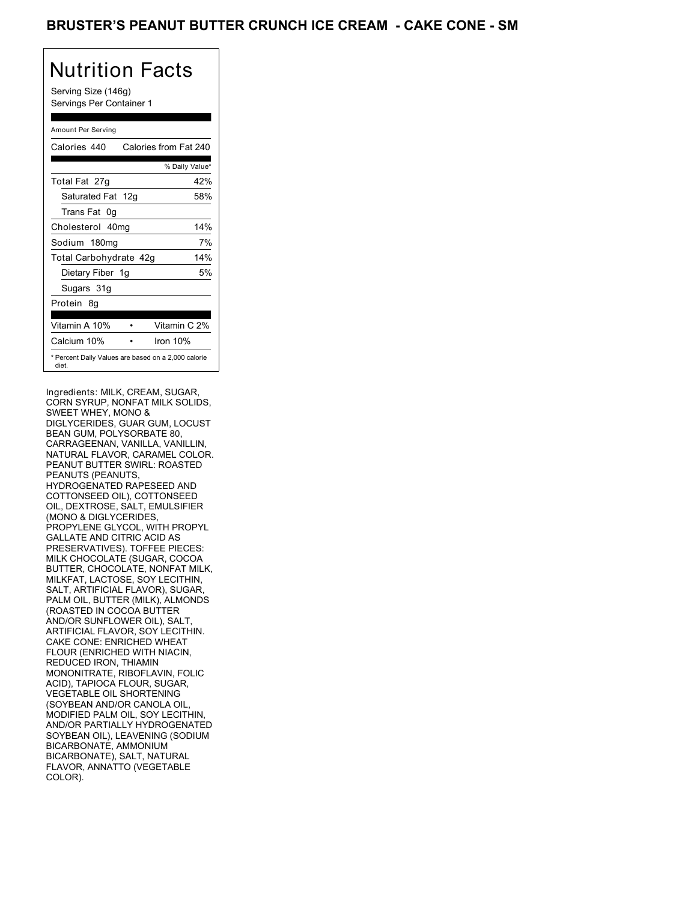## Nutrition Facts

Serving Size (146g) Servings Per Container 1

#### Amount Per Serving

| Calories 440                                                 | Calories from Fat 240 |
|--------------------------------------------------------------|-----------------------|
|                                                              | % Daily Value*        |
| Total Fat 27g                                                | 42%                   |
| Saturated Fat 12g                                            | 58%                   |
| Trans Fat 0q                                                 |                       |
| Cholesterol 40mg                                             | 14%                   |
| Sodium 180mg                                                 | 7%                    |
| Total Carbohydrate 42g                                       | 14%                   |
| Dietary Fiber 1g                                             | 5%                    |
| Sugars 31g                                                   |                       |
| Protein 8q                                                   |                       |
| Vitamin A 10%                                                | Vitamin C 2%          |
| Calcium 10%                                                  | Iron 10%              |
| * Percent Daily Values are based on a 2,000 calorie<br>diet. |                       |

Ingredients: MILK, CREAM, SUGAR, CORN SYRUP, NONFAT MILK SOLIDS, SWEET WHEY, MONO & DIGLYCERIDES, GUAR GUM, LOCUST BEAN GUM, POLYSORBATE 80, CARRAGEENAN, VANILLA, VANILLIN, NATURAL FLAVOR, CARAMEL COLOR. PEANUT BUTTER SWIRL: ROASTED PEANUTS (PEANUTS, HYDROGENATED RAPESEED AND COTTONSEED OIL), COTTONSEED OIL, DEXTROSE, SALT, EMULSIFIER (MONO & DIGLYCERIDES, PROPYLENE GLYCOL, WITH PROPYL GALLATE AND CITRIC ACID AS PRESERVATIVES). TOFFEE PIECES: MILK CHOCOLATE (SUGAR, COCOA BUTTER, CHOCOLATE, NONFAT MILK, MILKFAT, LACTOSE, SOY LECITHIN, SALT, ARTIFICIAL FLAVOR), SUGAR, PALM OIL, BUTTER (MILK), ALMONDS (ROASTED IN COCOA BUTTER AND/OR SUNFLOWER OIL), SALT, ARTIFICIAL FLAVOR, SOY LECITHIN. CAKE CONE: ENRICHED WHEAT FLOUR (ENRICHED WITH NIACIN, REDUCED IRON, THIAMIN MONONITRATE, RIBOFLAVIN, FOLIC ACID), TAPIOCA FLOUR, SUGAR, VEGETABLE OIL SHORTENING (SOYBEAN AND/OR CANOLA OIL, MODIFIED PALM OIL, SOY LECITHIN, AND/OR PARTIALLY HYDROGENATED SOYBEAN OIL), LEAVENING (SODIUM BICARBONATE, AMMONIUM BICARBONATE), SALT, NATURAL FLAVOR, ANNATTO (VEGETABLE COLOR).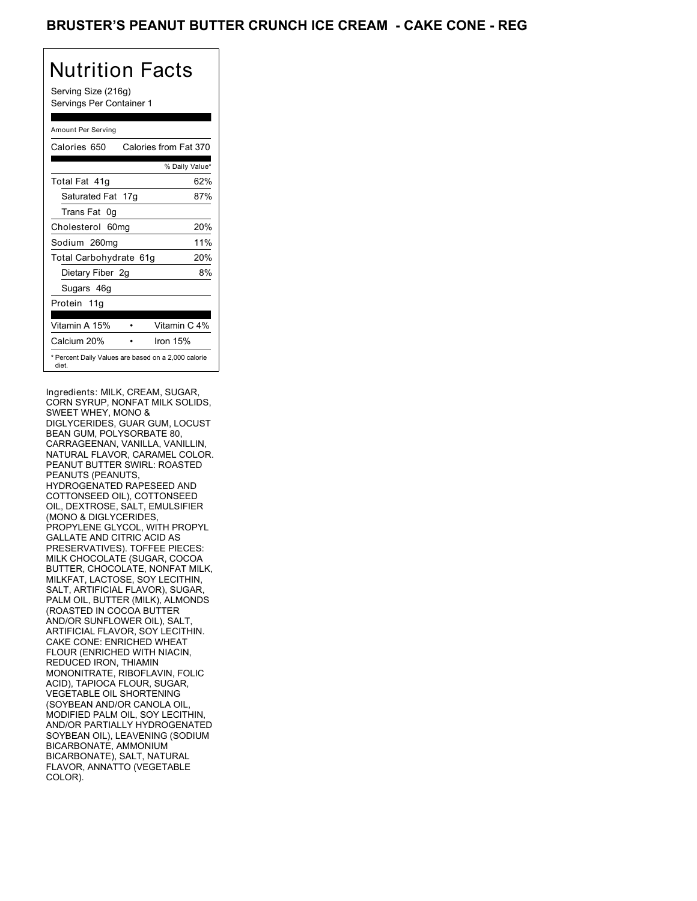## BRUSTER'S PEANUT BUTTER CRUNCH ICE CREAM - CAKE CONE - REG

# Nutrition Facts

Serving Size (216g) Servings Per Container 1

#### Amount Per Serving

| Calories 650                                                 | Calories from Fat 370 |
|--------------------------------------------------------------|-----------------------|
|                                                              | % Daily Value*        |
| Total Fat 41q                                                | 62%                   |
| Saturated Fat 17g                                            | 87%                   |
| Trans Fat 0q                                                 |                       |
| Cholesterol 60mg                                             | 20%                   |
| Sodium 260mg                                                 | 11%                   |
| Total Carbohydrate 61g                                       | 20%                   |
| Dietary Fiber 2g                                             | 8%                    |
| Sugars 46g                                                   |                       |
| Protein 11g                                                  |                       |
| Vitamin A 15%                                                | Vitamin C 4%          |
| Calcium 20%                                                  | Iron 15%              |
| * Percent Daily Values are based on a 2,000 calorie<br>diet. |                       |

Ingredients: MILK, CREAM, SUGAR, CORN SYRUP, NONFAT MILK SOLIDS, SWEET WHEY, MONO & DIGLYCERIDES, GUAR GUM, LOCUST BEAN GUM, POLYSORBATE 80, CARRAGEENAN, VANILLA, VANILLIN, NATURAL FLAVOR, CARAMEL COLOR. PEANUT BUTTER SWIRL: ROASTED PEANUTS (PEANUTS, HYDROGENATED RAPESEED AND COTTONSEED OIL), COTTONSEED OIL, DEXTROSE, SALT, EMULSIFIER (MONO & DIGLYCERIDES, PROPYLENE GLYCOL, WITH PROPYL GALLATE AND CITRIC ACID AS PRESERVATIVES). TOFFEE PIECES: MILK CHOCOLATE (SUGAR, COCOA BUTTER, CHOCOLATE, NONFAT MILK, MILKFAT, LACTOSE, SOY LECITHIN, SALT, ARTIFICIAL FLAVOR), SUGAR, PALM OIL, BUTTER (MILK), ALMONDS (ROASTED IN COCOA BUTTER AND/OR SUNFLOWER OIL), SALT, ARTIFICIAL FLAVOR, SOY LECITHIN. CAKE CONE: ENRICHED WHEAT FLOUR (ENRICHED WITH NIACIN, REDUCED IRON, THIAMIN MONONITRATE, RIBOFLAVIN, FOLIC ACID), TAPIOCA FLOUR, SUGAR, VEGETABLE OIL SHORTENING (SOYBEAN AND/OR CANOLA OIL, MODIFIED PALM OIL, SOY LECITHIN, AND/OR PARTIALLY HYDROGENATED SOYBEAN OIL), LEAVENING (SODIUM BICARBONATE, AMMONIUM BICARBONATE), SALT, NATURAL FLAVOR, ANNATTO (VEGETABLE COLOR).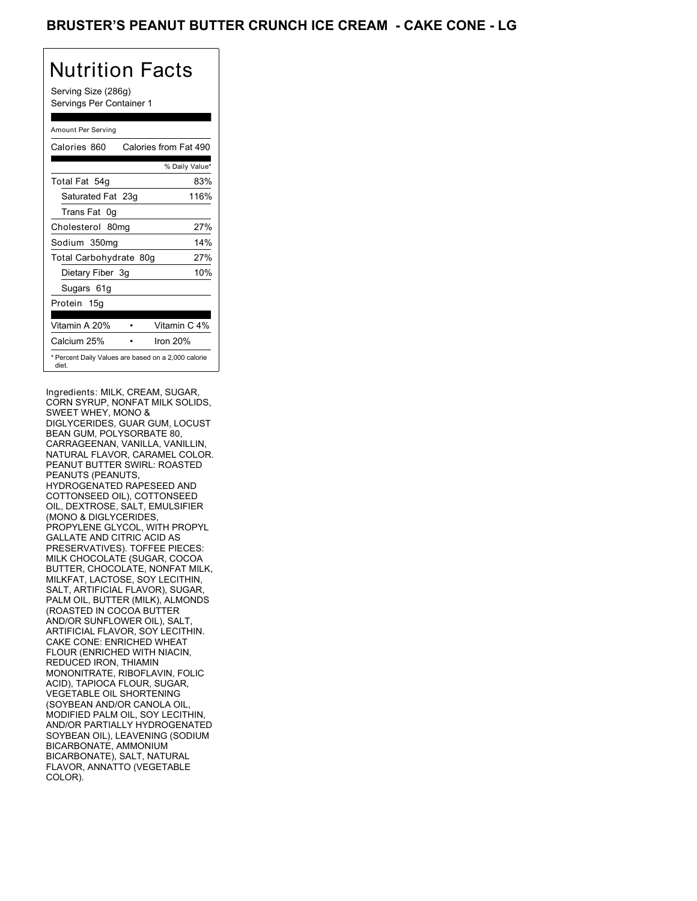# Nutrition Facts

Serving Size (286g) Servings Per Container 1

#### Amount Per Serving

| Calories 860           | Calories from Fat 490                               |
|------------------------|-----------------------------------------------------|
|                        | % Daily Value*                                      |
| Total Fat 54g          | 83%                                                 |
| Saturated Fat 23g      | 116%                                                |
| Trans Fat 0q           |                                                     |
| Cholesterol 80mg       | 27%                                                 |
| Sodium 350mg           | 14%                                                 |
| Total Carbohydrate 80g | 27%                                                 |
| Dietary Fiber 3g       | 10%                                                 |
| Sugars 61g             |                                                     |
| Protein 15g            |                                                     |
| Vitamin A 20%          | Vitamin C 4%                                        |
| Calcium 25%            | Iron 20%                                            |
| diet.                  | * Percent Daily Values are based on a 2,000 calorie |

Ingredients: MILK, CREAM, SUGAR, CORN SYRUP, NONFAT MILK SOLIDS, SWEET WHEY, MONO & DIGLYCERIDES, GUAR GUM, LOCUST BEAN GUM, POLYSORBATE 80, CARRAGEENAN, VANILLA, VANILLIN, NATURAL FLAVOR, CARAMEL COLOR. PEANUT BUTTER SWIRL: ROASTED PEANUTS (PEANUTS, HYDROGENATED RAPESEED AND COTTONSEED OIL), COTTONSEED OIL, DEXTROSE, SALT, EMULSIFIER (MONO & DIGLYCERIDES, PROPYLENE GLYCOL, WITH PROPYL GALLATE AND CITRIC ACID AS PRESERVATIVES). TOFFEE PIECES: MILK CHOCOLATE (SUGAR, COCOA BUTTER, CHOCOLATE, NONFAT MILK, MILKFAT, LACTOSE, SOY LECITHIN, SALT, ARTIFICIAL FLAVOR), SUGAR, PALM OIL, BUTTER (MILK), ALMONDS (ROASTED IN COCOA BUTTER AND/OR SUNFLOWER OIL), SALT, ARTIFICIAL FLAVOR, SOY LECITHIN. CAKE CONE: ENRICHED WHEAT FLOUR (ENRICHED WITH NIACIN, REDUCED IRON, THIAMIN MONONITRATE, RIBOFLAVIN, FOLIC ACID), TAPIOCA FLOUR, SUGAR, VEGETABLE OIL SHORTENING (SOYBEAN AND/OR CANOLA OIL, MODIFIED PALM OIL, SOY LECITHIN, AND/OR PARTIALLY HYDROGENATED SOYBEAN OIL), LEAVENING (SODIUM BICARBONATE, AMMONIUM BICARBONATE), SALT, NATURAL FLAVOR, ANNATTO (VEGETABLE COLOR).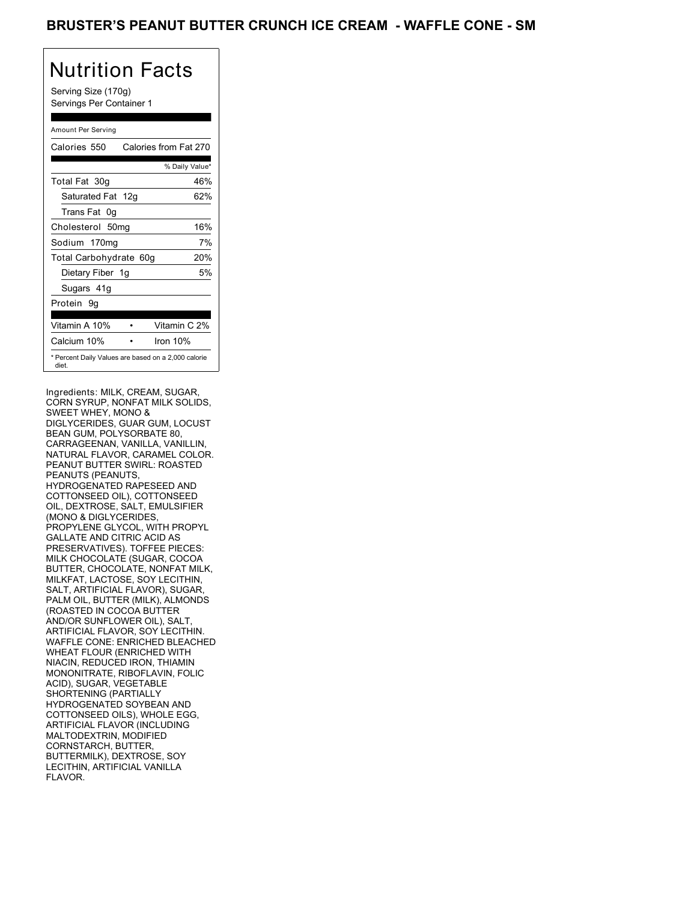## BRUSTER'S PEANUT BUTTER CRUNCH ICE CREAM - WAFFLE CONE - SM

# Nutrition Facts

Serving Size (170g) Servings Per Container 1

#### Amount Per Serving

| Calories 550                                                 | Calories from Fat 270 |
|--------------------------------------------------------------|-----------------------|
|                                                              | % Daily Value*        |
| Total Fat 30g                                                | 46%                   |
| Saturated Fat 12g                                            | 62%                   |
| Trans Fat 0q                                                 |                       |
| Cholesterol 50mg                                             | 16%                   |
| Sodium 170mg                                                 | 7%                    |
| Total Carbohydrate 60g                                       | 20%                   |
| Dietary Fiber 1g                                             | 5%                    |
| Sugars 41g                                                   |                       |
| Protein 9q                                                   |                       |
| Vitamin A 10%                                                | Vitamin C 2%          |
| Calcium 10%                                                  | Iron $10%$            |
| * Percent Daily Values are based on a 2,000 calorie<br>diet. |                       |

Ingredients: MILK, CREAM, SUGAR, CORN SYRUP, NONFAT MILK SOLIDS, SWEET WHEY, MONO & DIGLYCERIDES, GUAR GUM, LOCUST BEAN GUM, POLYSORBATE 80, CARRAGEENAN, VANILLA, VANILLIN, NATURAL FLAVOR, CARAMEL COLOR. PEANUT BUTTER SWIRL: ROASTED PEANUTS (PEANUTS, HYDROGENATED RAPESEED AND COTTONSEED OIL), COTTONSEED OIL, DEXTROSE, SALT, EMULSIFIER (MONO & DIGLYCERIDES, PROPYLENE GLYCOL, WITH PROPYL GALLATE AND CITRIC ACID AS PRESERVATIVES). TOFFEE PIECES: MILK CHOCOLATE (SUGAR, COCOA BUTTER, CHOCOLATE, NONFAT MILK, MILKFAT, LACTOSE, SOY LECITHIN, SALT, ARTIFICIAL FLAVOR), SUGAR, PALM OIL, BUTTER (MILK), ALMONDS (ROASTED IN COCOA BUTTER AND/OR SUNFLOWER OIL), SALT, ARTIFICIAL FLAVOR, SOY LECITHIN. WAFFLE CONE: ENRICHED BLEACHED WHEAT FLOUR (ENRICHED WITH NIACIN, REDUCED IRON, THIAMIN MONONITRATE, RIBOFLAVIN, FOLIC ACID), SUGAR, VEGETABLE SHORTENING (PARTIALLY HYDROGENATED SOYBEAN AND COTTONSEED OILS), WHOLE EGG, ARTIFICIAL FLAVOR (INCLUDING MALTODEXTRIN, MODIFIED CORNSTARCH, BUTTER, BUTTERMILK), DEXTROSE, SOY LECITHIN, ARTIFICIAL VANILLA FLAVOR.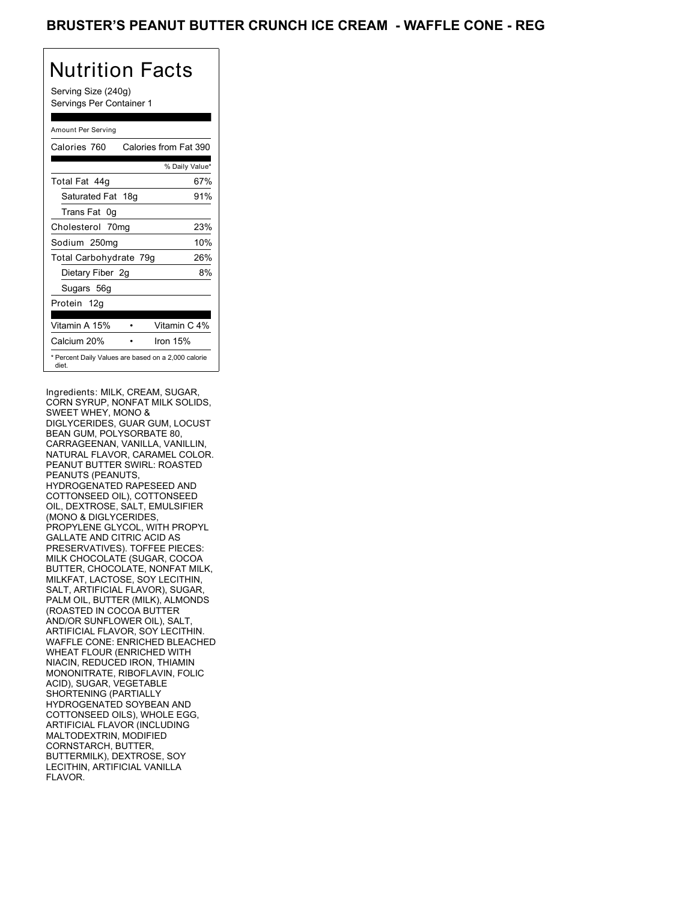## BRUSTER'S PEANUT BUTTER CRUNCH ICE CREAM - WAFFLE CONE - REG

## Nutrition Facts

Serving Size (240g) Servings Per Container 1

#### Amount Per Serving

| Calories 760           | Calories from Fat 390                               |
|------------------------|-----------------------------------------------------|
|                        | % Daily Value*                                      |
| Total Fat 44q          | 67%                                                 |
| Saturated Fat 18g      | 91%                                                 |
| Trans Fat 0g           |                                                     |
| Cholesterol 70mg       | 23%                                                 |
| Sodium 250mg           | 10%                                                 |
| Total Carbohydrate 79g | 26%                                                 |
| Dietary Fiber 2g       | 8%                                                  |
| Sugars 56g             |                                                     |
| Protein 12q            |                                                     |
|                        |                                                     |
| Vitamin A 15%          | Vitamin C 4%                                        |
| Calcium 20%            | Iron 15%                                            |
| diet.                  | * Percent Daily Values are based on a 2,000 calorie |

Ingredients: MILK, CREAM, SUGAR, CORN SYRUP, NONFAT MILK SOLIDS, SWEET WHEY, MONO & DIGLYCERIDES, GUAR GUM, LOCUST BEAN GUM, POLYSORBATE 80, CARRAGEENAN, VANILLA, VANILLIN, NATURAL FLAVOR, CARAMEL COLOR. PEANUT BUTTER SWIRL: ROASTED PEANUTS (PEANUTS, HYDROGENATED RAPESEED AND COTTONSEED OIL), COTTONSEED OIL, DEXTROSE, SALT, EMULSIFIER (MONO & DIGLYCERIDES, PROPYLENE GLYCOL, WITH PROPYL GALLATE AND CITRIC ACID AS PRESERVATIVES). TOFFEE PIECES: MILK CHOCOLATE (SUGAR, COCOA BUTTER, CHOCOLATE, NONFAT MILK, MILKFAT, LACTOSE, SOY LECITHIN, SALT, ARTIFICIAL FLAVOR), SUGAR, PALM OIL, BUTTER (MILK), ALMONDS (ROASTED IN COCOA BUTTER AND/OR SUNFLOWER OIL), SALT, ARTIFICIAL FLAVOR, SOY LECITHIN. WAFFLE CONE: ENRICHED BLEACHED WHEAT FLOUR (ENRICHED WITH NIACIN, REDUCED IRON, THIAMIN MONONITRATE, RIBOFLAVIN, FOLIC ACID), SUGAR, VEGETABLE SHORTENING (PARTIALLY HYDROGENATED SOYBEAN AND COTTONSEED OILS), WHOLE EGG, ARTIFICIAL FLAVOR (INCLUDING MALTODEXTRIN, MODIFIED CORNSTARCH, BUTTER, BUTTERMILK), DEXTROSE, SOY LECITHIN, ARTIFICIAL VANILLA FLAVOR.